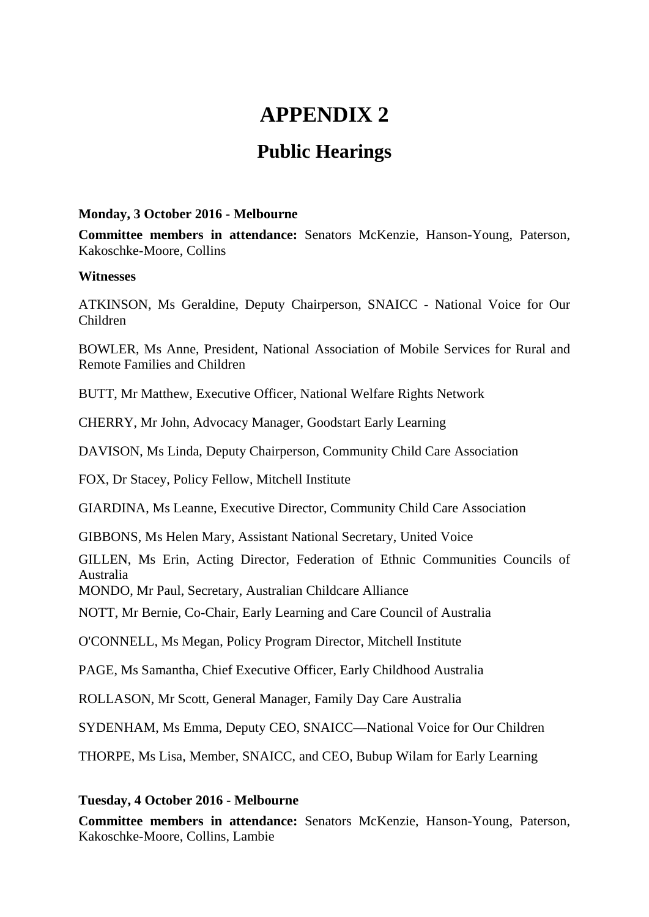# **APPENDIX 2**

## **Public Hearings**

#### **Monday, 3 October 2016 - Melbourne**

**Committee members in attendance:** Senators McKenzie, Hanson-Young, Paterson, Kakoschke-Moore, Collins

#### **Witnesses**

ATKINSON, Ms Geraldine, Deputy Chairperson, SNAICC - National Voice for Our Children

BOWLER, Ms Anne, President, National Association of Mobile Services for Rural and Remote Families and Children

BUTT, Mr Matthew, Executive Officer, National Welfare Rights Network

CHERRY, Mr John, Advocacy Manager, Goodstart Early Learning

DAVISON, Ms Linda, Deputy Chairperson, Community Child Care Association

FOX, Dr Stacey, Policy Fellow, Mitchell Institute

GIARDINA, Ms Leanne, Executive Director, Community Child Care Association

GIBBONS, Ms Helen Mary, Assistant National Secretary, United Voice

GILLEN, Ms Erin, Acting Director, Federation of Ethnic Communities Councils of Australia

MONDO, Mr Paul, Secretary, Australian Childcare Alliance

NOTT, Mr Bernie, Co-Chair, Early Learning and Care Council of Australia

O'CONNELL, Ms Megan, Policy Program Director, Mitchell Institute

PAGE, Ms Samantha, Chief Executive Officer, Early Childhood Australia

ROLLASON, Mr Scott, General Manager, Family Day Care Australia

SYDENHAM, Ms Emma, Deputy CEO, SNAICC—National Voice for Our Children

THORPE, Ms Lisa, Member, SNAICC, and CEO, Bubup Wilam for Early Learning

### **Tuesday, 4 October 2016 - Melbourne**

**Committee members in attendance:** Senators McKenzie, Hanson-Young, Paterson, Kakoschke-Moore, Collins, Lambie